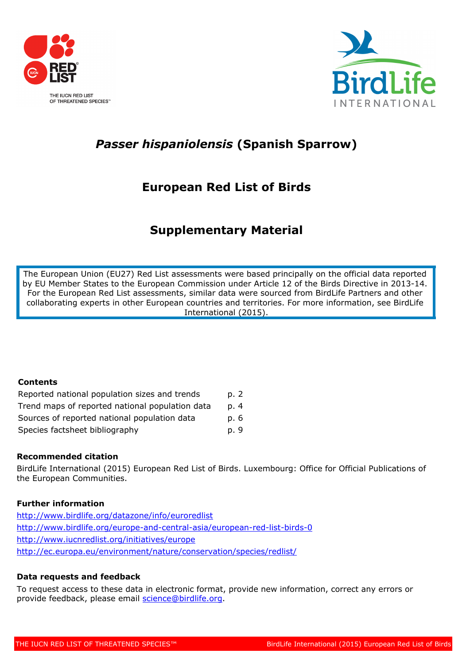

OF THREATENED SPECIES"



# *Passer hispaniolensis* **(Spanish Sparrow)**

# **European Red List of Birds**

# **Supplementary Material**

The European Union (EU27) Red List assessments were based principally on the official data reported by EU Member States to the European Commission under Article 12 of the Birds Directive in 2013-14. For the European Red List assessments, similar data were sourced from BirdLife Partners and other collaborating experts in other European countries and territories. For more information, see BirdLife International (2015).

# **Contents**

| Reported national population sizes and trends   | p. 2 |
|-------------------------------------------------|------|
| Trend maps of reported national population data | p. 4 |
| Sources of reported national population data    | p. 6 |
| Species factsheet bibliography                  | p. 9 |

# **Recommended citation**

BirdLife International (2015) European Red List of Birds. Luxembourg: Office for Official Publications of the European Communities.

# **Further information**

<http://www.birdlife.org/datazone/info/euroredlist> <http://www.birdlife.org/europe-and-central-asia/european-red-list-birds-0> <http://www.iucnredlist.org/initiatives/europe> <http://ec.europa.eu/environment/nature/conservation/species/redlist/>

# **Data requests and feedback**

To request access to these data in electronic format, provide new information, correct any errors or provide feedback, please email [science@birdlife.org](mailto:science@birdlife.org).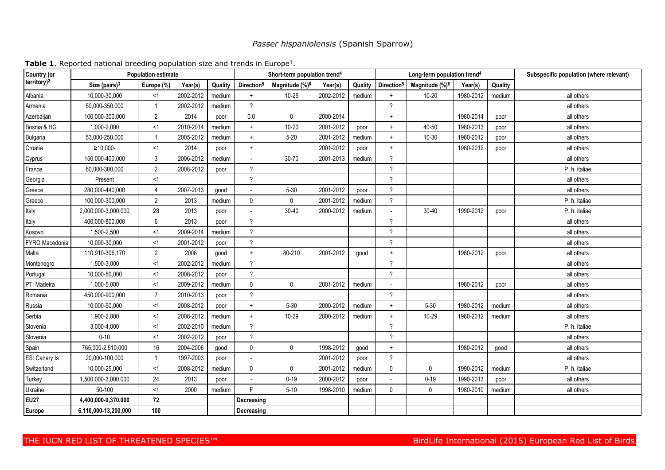# *Passer hispaniolensis* (Spanish Sparrow)

| Country (or             | <b>Population estimate</b> | Short-term population trend <sup>4</sup> |           |         |                          |                            | Long-term population trend <sup>4</sup> |         | Subspecific population (where relevant) |                            |           |         |               |
|-------------------------|----------------------------|------------------------------------------|-----------|---------|--------------------------|----------------------------|-----------------------------------------|---------|-----------------------------------------|----------------------------|-----------|---------|---------------|
| territory) <sup>2</sup> | Size (pairs) $3$           | Europe (%)                               | Year(s)   | Quality | Direction <sup>5</sup>   | Magnitude (%) <sup>6</sup> | Year(s)                                 | Quality | Direction <sup>5</sup>                  | Magnitude (%) <sup>6</sup> | Year(s)   | Quality |               |
| Albania                 | 10,000-30,000              | $<$ 1                                    | 2002-2012 | medium  | $+$                      | $10 - 25$                  | 2002-2012                               | medium  | $+$                                     | $10 - 20$                  | 1980-2012 | medium  | all others    |
| Armenia                 | 50,000-350,000             |                                          | 2002-2012 | medium  | $\gamma$                 |                            |                                         |         | $\overline{?}$                          |                            |           |         | all others    |
| Azerbaijan              | 100,000-300,000            | $\overline{2}$                           | 2014      | poor    | 0.0                      | 0                          | 2000-2014                               |         | $\ddag$                                 |                            | 1980-2014 | poor    | all others    |
| Bosnia & HG             | 1.000-2.000                | <1                                       | 2010-2014 | medium  | $+$                      | 10-20                      | 2001-2012                               | poor    | $\ddot{}$                               | 40-50                      | 1980-2013 | poor    | all others    |
| <b>Bulgaria</b>         | 53,000-250,000             |                                          | 2005-2012 | medium  | $\ddot{}$                | $5 - 20$                   | 2001-2012                               | medium  | $\ddot{}$                               | 10-30                      | 1980-2012 | poor    | all others    |
| Croatia                 | $≥10,000-$                 | <1                                       | 2014      | poor    | $+$                      |                            | 2001-2012                               | poor    | $\ddot{}$                               |                            | 1980-2012 | poor    | all others    |
| Cyprus                  | 150,000-400,000            | 3                                        | 2006-2012 | medium  | $\overline{\phantom{a}}$ | 30-70                      | 2001-2013                               | medium  | $\overline{?}$                          |                            |           |         | all others    |
| France                  | 60,000-300,000             | $\overline{2}$                           | 2008-2012 | poor    | $\boldsymbol{\gamma}$    |                            |                                         |         | $\boldsymbol{\gamma}$                   |                            |           |         | P. h. italiae |
| Georgia                 | Present                    | <1                                       |           |         | $\gamma$                 |                            |                                         |         | $\gamma$                                |                            |           |         | all others    |
| Greece                  | 280,000-440,000            | 4                                        | 2007-2013 | good    |                          | $5 - 30$                   | 2001-2012                               | poor    | $\gamma$                                |                            |           |         | all others    |
| Greece                  | 100,000-300,000            | $\overline{2}$                           | 2013      | medium  | $\mathbf 0$              | 0                          | 2001-2012                               | medium  | $\gamma$                                |                            |           |         | P. h. italiae |
| Italy                   | 2,000,000-3,000,000        | 28                                       | 2013      | poor    |                          | $30 - 40$                  | 2000-2012                               | medium  | $\sim$                                  | $30 - 40$                  | 1990-2012 | poor    | P. h. italiae |
| Italy                   | 400,000-800,000            | 6                                        | 2013      | poor    | $\gamma$                 |                            |                                         |         | $\gamma$                                |                            |           |         | all others    |
| Kosovo                  | 1,500-2,500                | <1                                       | 2009-2014 | medium  | $\gamma$                 |                            |                                         |         | $\overline{?}$                          |                            |           |         | all others    |
| FYRO Macedonia          | 10,000-30,000              | <1                                       | 2001-2012 | poor    | $\gamma$                 |                            |                                         |         | $\overline{?}$                          |                            |           |         | all others    |
| Malta                   | 110,910-306,170            | $\overline{2}$                           | 2008      | good    | $\ddot{}$                | 80-210                     | 2001-2012                               | good    | $\ddot{}$                               |                            | 1980-2012 | poor    | all others    |
| Montenegro              | 1,500-3,000                | <1                                       | 2002-2012 | medium  | $\gamma$                 |                            |                                         |         | $\gamma$                                |                            |           |         | all others    |
| Portugal                | 10,000-50,000              | <1                                       | 2008-2012 | poor    | $\gamma$                 |                            |                                         |         | $\boldsymbol{\gamma}$                   |                            |           |         | all others    |
| PT: Madeira             | 1,000-5,000                | <1                                       | 2009-2012 | medium  | $\mathbf 0$              | 0                          | 2001-2012                               | medium  | $\sim$                                  |                            | 1980-2012 | poor    | all others    |
| Romania                 | 450,000-900,000            | $\overline{7}$                           | 2010-2013 | poor    | $\gamma$                 |                            |                                         |         | $\boldsymbol{\gamma}$                   |                            |           |         | all others    |
| Russia                  | 10,000-50,000              | <1                                       | 2008-2012 | poor    | $+$                      | $5 - 30$                   | 2000-2012                               | medium  | $+$                                     | $5 - 30$                   | 1980-2012 | medium  | all others    |
| Serbia                  | 1,900-2,800                | <1                                       | 2008-2012 | medium  | $\ddag$                  | 10-29                      | 2000-2012                               | medium  | $\pmb{+}$                               | 10-29                      | 1980-2012 | medium  | all others    |
| Slovenia                | 3,000-4,000                | <1                                       | 2002-2010 | medium  | $\gamma$                 |                            |                                         |         | $\gamma$                                |                            |           |         | P. h. italiae |
| Slovenia                | $0 - 10$                   | <1                                       | 2002-2012 | poor    | $\gamma$                 |                            |                                         |         | $\gamma$                                |                            |           |         | all others    |
| Spain                   | 765,000-2,510,000          | 16                                       | 2004-2006 | good    | $\mathbf{0}$             | 0                          | 1998-2012                               | good    | $\ddot{}$                               |                            | 1980-2012 | good    | all others    |
| ES: Canary Is           | 20,000-100,000             |                                          | 1997-2003 | poor    | $\overline{\phantom{a}}$ |                            | 2001-2012                               | poor    | $\overline{?}$                          |                            |           |         | all others    |
| Switzerland             | 10,000-25,000              | <1                                       | 2008-2012 | medium  | $\mathbf 0$              | 0                          | 2001-2012                               | medium  | $\mathbf 0$                             | 0                          | 1990-2012 | medium  | P. h. italiae |
| Turkey                  | 1,500,000-3,000,000        | 24                                       | 2013      | poor    | $\overline{a}$           | $0 - 19$                   | 2000-2012                               | poor    |                                         | $0 - 19$                   | 1990-2013 | poor    | all others    |
| Ukraine                 | 50-100                     | <1                                       | 2000      | medium  | E                        | $5 - 10$                   | 1998-2010                               | medium  | $\mathbf 0$                             | $\mathbf{0}$               | 1980-2010 | medium  | all others    |
| <b>EU27</b>             | 4,400,000-9,370,000        | 72                                       |           |         | Decreasing               |                            |                                         |         |                                         |                            |           |         |               |
| Europe                  | 6,110,000-13,200,000       | 100                                      |           |         | Decreasing               |                            |                                         |         |                                         |                            |           |         |               |

Table 1. Reported national breeding population size and trends in Europe<sup>1</sup>.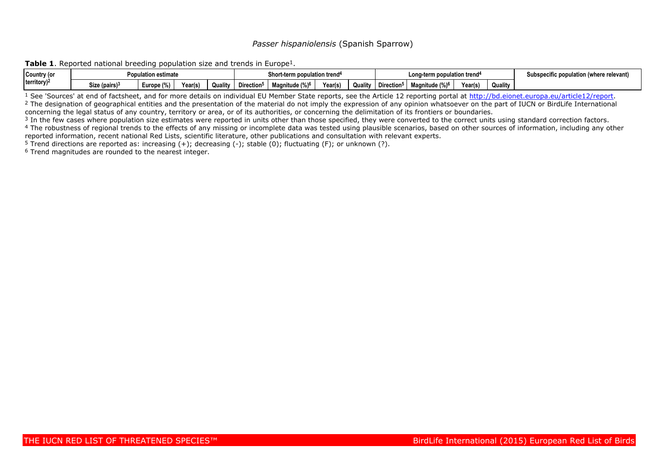## *Passer hispaniolensis* (Spanish Sparrow)

**Table 1.** Reported national breeding population size and trends in Europe<sup>1</sup>.

| Country (or                 | opulation estimate? | Short-term population trend <sup>4</sup> |         |         |                        | Long-term population trend <sup>4</sup> |         |         |                        | Subspecific population (where relevant) |         |         |  |
|-----------------------------|---------------------|------------------------------------------|---------|---------|------------------------|-----------------------------------------|---------|---------|------------------------|-----------------------------------------|---------|---------|--|
| $ $ territory) <sup>2</sup> | Size (pairs) $3$    | $\cdots$<br>uropr <u>-</u><br>`? (%)     | Year(s) | Quality | Direction <sup>5</sup> | Magnitude (%) <sup>6</sup>              | Year(s) | Quality | Direction <sup>5</sup> | Magnitude (%) <sup>6</sup>              | Year(s, | Quality |  |

<sup>1</sup> See 'Sources' at end of factsheet, and for more details on individual EU Member State reports, see the Article 12 reporting portal at<http://bd.eionet.europa.eu/article12/report>. <sup>2</sup> The designation of geographical entities and the presentation of the material do not imply the expression of any opinion whatsoever on the part of IUCN or BirdLife International concerning the legal status of any country, territory or area, or of its authorities, or concerning the delimitation of its frontiers or boundaries.

<sup>3</sup> In the few cases where population size estimates were reported in units other than those specified, they were converted to the correct units using standard correction factors. <sup>4</sup> The robustness of regional trends to the effects of any missing or incomplete data was tested using plausible scenarios, based on other sources of information, including any other

reported information, recent national Red Lists, scientific literature, other publications and consultation with relevant experts.

<sup>5</sup> Trend directions are reported as: increasing  $(+)$ ; decreasing  $(-)$ ; stable  $(0)$ ; fluctuating  $(F)$ ; or unknown  $(?)$ .

6 Trend magnitudes are rounded to the nearest integer.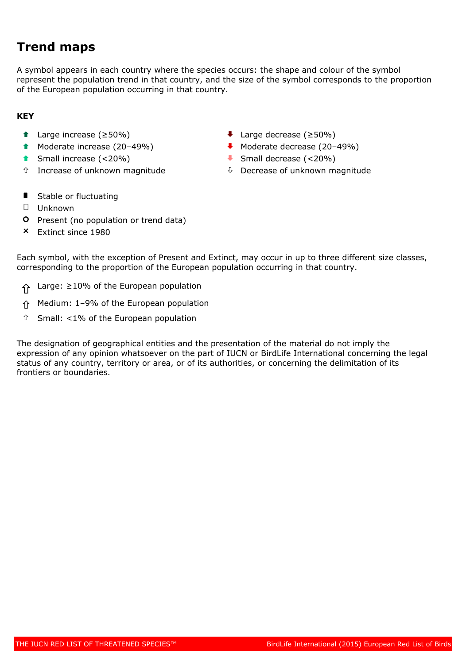# **Trend maps**

A symbol appears in each country where the species occurs: the shape and colour of the symbol represent the population trend in that country, and the size of the symbol corresponds to the proportion of the European population occurring in that country.

# **KEY**

- 
- 
- 
- 
- Ç Large increase (≥50%) È Large decrease (≥50%)
- $\bullet$  Moderate increase (20–49%)  $\bullet$  Moderate decrease (20–49%)
- Ç Small increase (<20%) È Small decrease (<20%)
- $\hat{u}$  Increase of unknown magnitude  $\hat{u}$  Decrease of unknown magnitude
- **I** Stable or fluctuating
- 0 Unknown
- **O** Present (no population or trend data)
- Ð Extinct since 1980

Each symbol, with the exception of Present and Extinct, may occur in up to three different size classes, corresponding to the proportion of the European population occurring in that country.

- ñ Large: ≥10% of the European population
- ñ Medium: 1–9% of the European population
- $\hat{u}$  Small: <1% of the European population

The designation of geographical entities and the presentation of the material do not imply the expression of any opinion whatsoever on the part of IUCN or BirdLife International concerning the legal status of any country, territory or area, or of its authorities, or concerning the delimitation of its frontiers or boundaries.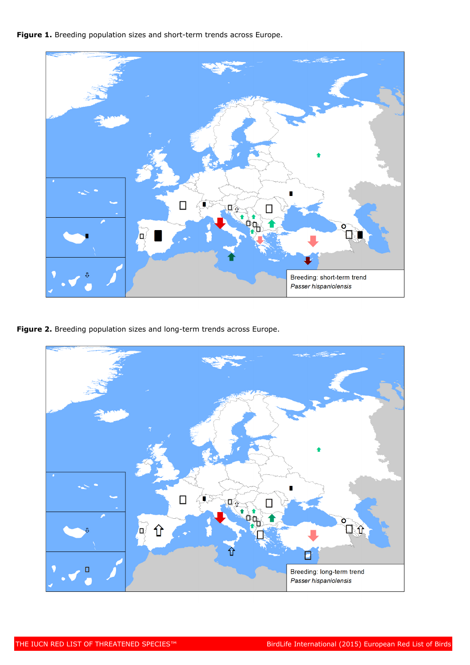Figure 1. Breeding population sizes and short-term trends across Europe.



**Figure 2.** Breeding population sizes and long-term trends across Europe.

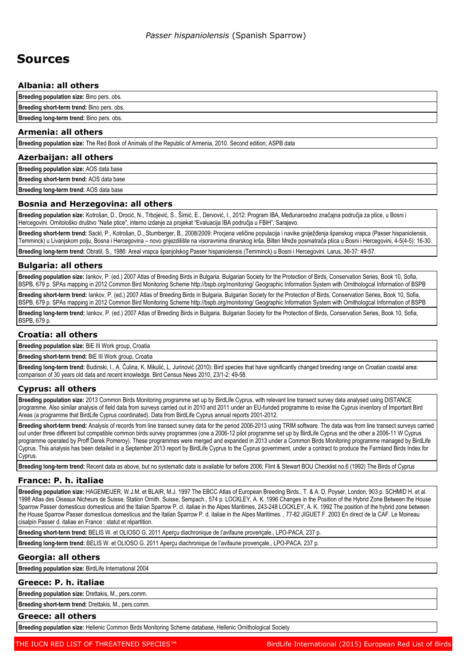# **Sources**

## **Albania: all others**

**Breeding population size:** Bino pers. obs.

**Breeding short-term trend:** Bino pers. obs. **Breeding long-term trend:** Bino pers. obs.

# **Armenia: all others**

**Breeding population size:** The Red Book of Animals of the Republic of Armenia, 2010. Second edition; ASPB data

### **Azerbaijan: all others**

**Breeding population size:** AOS data base

**Breeding short-term trend:** AOS data base

**Breeding long-term trend:** AOS data base

## **Bosnia and Herzegovina: all others**

**Breeding population size:** Kotrošan, D., Drocić, N., Trbojević, S., Šimić, E., Dervović, I., 2012: Program IBA, Međunarosdno značajna područja za ptice, u Bosni i Hercegovini. Ornitološko društvo "Naše ptice", interno izdanje za projekat "Evaluacija IBA područja u FBiH", Sarajevo.

**Breeding short-term trend:** Sackl, P., Kotrošan, D., Stumberger, B., 2008/2009: Procjena veličine populacija i navike gniježđenja španskog vrapca (Passer hispaniolensis, Temminck) u Livanjskom polju, Bosna i Hercegovina – novo gnjezdilište na visoravnima dinarskog krša. Bilten Mreže posmatrača ptica u Bosni i Hercegovini, 4-5(4-5): 16-30.

**Breeding long-term trend:** Obratil, S., 1986: Areal vrapca španjolskog Passer hispaniolensis (Temminck) u Bosni i Hercegovini. Larus, 36-37: 49-57.

## **Bulgaria: all others**

**Breeding population size:** Iankov, P. (ed.) 2007 Atlas of Breeding Birds in Bulgaria. Bulgarian Society for the Protection of Birds, Conservation Series, Book 10, Sofia, BSPB, 679 p. SPAs mapping in 2012 Common Bird Monitoring Scheme http://bspb.org/monitoring/ Geographic Information System with Ornithologcal Information of BSPB

**Breeding short-term trend:** Iankov, P. (ed.) 2007 Atlas of Breeding Birds in Bulgaria. Bulgarian Society for the Protection of Birds, Conservation Series, Book 10, Sofia, BSPB, 679 p. SPAs mapping in 2012 Common Bird Monitoring Scheme http://bspb.org/monitoring/ Geographic Information System with Ornithologcal Information of BSPB

**Breeding long-term trend:** Iankov, P. (ed.) 2007 Atlas of Breeding Birds in Bulgaria. Bulgarian Society for the Protection of Birds, Conservation Series, Book 10, Sofia, BSPB, 679 p.

## **Croatia: all others**

**Breeding population size:** BiE III Work group, Croatia

**Breeding short-term trend:** BiE III Work group, Croatia

**Breeding long-term trend:** Budinski, I., A. Čulina, K. Mikulić, L. Jurinović (2010): Bird species that have significantly changed breeding range on Croatian coastal area: comparison of 30 years old data and recent knowledge. Bird Census News 2010, 23/1-2: 49-58.

## **Cyprus: all others**

**Breeding population size:** 2013 Common Birds Monitoring programme set up by BirdLife Cyprus, with relevant line transect survey data analysed using DISTANCE programme. Also similar analysis of field data from surveys carried out in 2010 and 2011 under an EU-funded programme to revise the Cyprus inventory of Important Bird Areas (a programme that BirdLife Cyprus coordinated). Data from BirdLife Cyprus annual reports 2001-2012.

**Breeding short-term trend:** Analysis of records from line transect survey data for the period 2006-2013 using TRIM software. The data was from line transect surveys carried out under three different but compatible common birds survey programmes (one a 2006-12 pilot programme set up by BirdLife Cyprus and the other a 2006-11 W Cyprus programme operated by Proff Derek Pomeroy). These programmes were merged and expanded in 2013 under a Common Birds Monitoring programme managed by BirdLife Cyprus. This analysis has been detailed in a September 2013 report by BirdLife Cyprus to the Cyprus government, under a contract to produce the Farmland Birds Index for **C**vprus

**Breeding long-term trend:** Recent data as above, but no systematic data is available for before 2006; Flint & Stewart BOU Checklist no.6 (1992) The Birds of Cyprus

## **France: P. h. italiae**

**Breeding population size:** HAGEMEIJER, W.J.M. et BLAIR, M.J. 1997 The EBCC Atlas of European Breeding Birds., T. & A. D. Poyser, London, 903 p. SCHMID H. et al. 1998 Atlas des Oiseaux Nicheurs de Suisse, Station Ornith. Suisse, Sempach., 574 p. LOCKLEY, A. K. 1996 Changes in the Position of the Hybrid Zone Between the House Sparrow Passer domesticus domesticus and the Italian Sparrow P. cl. italiae in the Alpes Maritimes, 243-248 LOCKLEY, A. K. 1992 The position of the hybrid zone between the House Sparrow Passer domesticus domesticus and the Italian Sparrow P. d. italiae in the Alpes Maritimes. , 77-82 JIGUET F. 2003 En direct de la CAF. Le Moineau cisalpin Passer d. italiae en France : statut et répartition.

**Breeding short-term trend:** BELIS W. et OLIOSO G. 2011 Aperçu diachronique de l'avifaune provençale., LPO-PACA, 237 p.

**Breeding long-term trend:** BELIS W. et OLIOSO G. 2011 Aperçu diachronique de l'avifaune provençale., LPO-PACA, 237 p.

## **Georgia: all others**

**Breeding population size:** BirdLife International 2004

### **Greece: P. h. italiae**

**Breeding population size:** Drettakis, M., pers.comm.

**Breeding short-term trend:** Drettakis, M., pers.comm.

## **Greece: all others**

**Breeding population size:** Hellenic Common Birds Monitoring Scheme database, Hellenic Ornithological Society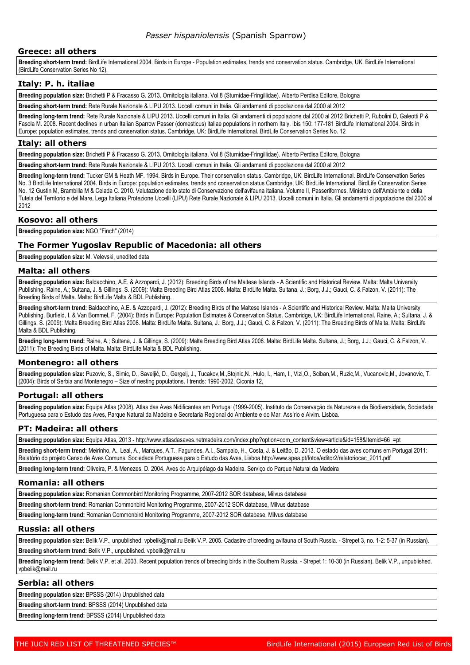### **Greece: all others**

**Breeding short-term trend:** BirdLife International 2004. Birds in Europe - Population estimates, trends and conservation status. Cambridge, UK, BirdLife International (BirdLife Conservation Series No 12).

#### **Italy: P. h. italiae**

**Breeding population size:** Brichetti P & Fracasso G. 2013. Ornitologia italiana. Vol.8 (Sturnidae-Fringillidae). Alberto Perdisa Editore, Bologna

**Breeding short-term trend:** Rete Rurale Nazionale & LIPU 2013. Uccelli comuni in Italia. Gli andamenti di popolazione dal 2000 al 2012

**Breeding long-term trend:** Rete Rurale Nazionale & LIPU 2013. Uccelli comuni in Italia. Gli andamenti di popolazione dal 2000 al 2012 Brichetti P, Rubolini D, Galeotti P & Fasola M. 2008. Recent declines in urban Italian Sparrow Passer (domesticus) italiae populations in northern Italy. Ibis 150: 177-181 BirdLife International 2004. Birds in Europe: population estimates, trends and conservation status. Cambridge, UK: BirdLife International. BirdLife Conservation Series No. 12

#### **Italy: all others**

**Breeding population size:** Brichetti P & Fracasso G. 2013. Ornitologia italiana. Vol.8 (Sturnidae-Fringillidae). Alberto Perdisa Editore, Bologna

**Breeding short-term trend:** Rete Rurale Nazionale & LIPU 2013. Uccelli comuni in Italia. Gli andamenti di popolazione dal 2000 al 2012

**Breeding long-term trend:** Tucker GM & Heath MF. 1994. Birds in Europe. Their conservation status. Cambridge, UK: BirdLife International. BirdLife Conservation Series No. 3 BirdLife International 2004. Birds in Europe: population estimates, trends and conservation status Cambridge, UK: BirdLife International. BirdLife Conservation Series No. 12 Gustin M, Brambilla M & Celada C. 2010. Valutazione dello stato di Conservazione dell'avifauna italiana. Volume II, Passeriformes. Ministero dell'Ambiente e della Tutela del Territorio e del Mare, Lega Italiana Protezione Uccelli (LIPU) Rete Rurale Nazionale & LIPU 2013. Uccelli comuni in Italia. Gli andamenti di popolazione dal 2000 al 2012

#### **Kosovo: all others**

**Breeding population size:** NGO "Finch" (2014)

### **The Former Yugoslav Republic of Macedonia: all others**

**Breeding population size:** M. Velevski, unedited data

#### **Malta: all others**

**Breeding population size:** Baldacchino, A.E. & Azzopardi, J. (2012): Breeding Birds of the Maltese Islands - A Scientific and Historical Review. Malta: Malta University Publishing. Raine, A.; Sultana, J. & Gillings, S. (2009): Malta Breeding Bird Atlas 2008. Malta: BirdLife Malta. Sultana, J.; Borg, J.J.; Gauci, C. & Falzon, V. (2011): The Breeding Birds of Malta. Malta: BirdLife Malta & BDL Publishing.

**Breeding short-term trend:** Baldacchino, A.E. & Azzopardi, J. (2012): Breeding Birds of the Maltese Islands - A Scientific and Historical Review. Malta: Malta University Publishing. Burfield, I. & Van Bommel, F. (2004): Birds in Europe: Population Estimates & Conservation Status. Cambridge, UK: BirdLife International. Raine, A.; Sultana, J. & Gillings, S. (2009): Malta Breeding Bird Atlas 2008. Malta: BirdLife Malta. Sultana, J.; Borg, J.J.; Gauci, C. & Falzon, V. (2011): The Breeding Birds of Malta. Malta: BirdLife Malta & BDL Publishing.

**Breeding long-term trend:** Raine, A.; Sultana, J. & Gillings, S. (2009): Malta Breeding Bird Atlas 2008. Malta: BirdLife Malta. Sultana, J.; Borg, J.J.; Gauci, C. & Falzon, V. (2011): The Breeding Birds of Malta. Malta: BirdLife Malta & BDL Publishing.

### **Montenegro: all others**

**Breeding population size:** Puzovic, S., Simic, D., Saveljić, D., Gergelj, J., Tucakov,M.,Stojnic,N., Hulo, I., Ham, I., Vizi,O., Sciban,M., Ruzic,M., Vucanovic,M., Jovanovic, T. (2004): Birds of Serbia and Montenegro – Size of nesting populations. I trends: 1990-2002. Ciconia 12,

### **Portugal: all others**

**Breeding population size:** Equipa Atlas (2008). Atlas das Aves Nidificantes em Portugal (1999-2005). Instituto da Conservação da Natureza e da Biodiversidade, Sociedade Portuguesa para o Estudo das Aves, Parque Natural da Madeira e Secretaria Regional do Ambiente e do Mar. Assírio e Alvim. Lisboa.

### **PT: Madeira: all others**

**Breeding population size:** Equipa Atlas, 2013 - http://www.atlasdasaves.netmadeira.com/index.php?option=com\_content&view=article&id=158&Itemid=66 =pt

**Breeding short-term trend:** Meirinho, A., Leal, A., Marques, A.T., Fagundes, A.I., Sampaio, H., Costa, J. & Leitão, D. 2013. O estado das aves comuns em Portugal 2011: Relatório do projeto Censo de Aves Comuns. Sociedade Portuguesa para o Estudo das Aves, Lisboa http://www.spea.pt/fotos/editor2/relatoriocac\_2011.pdf

**Breeding long-term trend:** Oliveira, P. & Menezes, D. 2004. Aves do Arquipélago da Madeira. Serviço do Parque Natural da Madeira

#### **Romania: all others**

**Breeding population size:** Romanian Commonbird Monitoring Programme, 2007-2012 SOR database, Milvus database

**Breeding short-term trend:** Romanian Commonbird Monitoring Programme, 2007-2012 SOR database, Milvus database

**Breeding long-term trend:** Romanian Commonbird Monitoring Programme, 2007-2012 SOR database, Milvus database

#### **Russia: all others**

**Breeding population size:** Belik V.P., unpublished. vpbelik@mail.ru Belik V.P. 2005. Cadastre of breeding avifauna of South Russia. - Strepet 3, no. 1-2: 5-37 (in Russian). **Breeding short-term trend:** Belik V.P., unpublished. vpbelik@mail.ru

**Breeding long-term trend:** Belik V.P. et al. 2003. Recent population trends of breeding birds in the Southern Russia. - Strepet 1: 10-30 (in Russian). Belik V.P., unpublished. vpbelik@mail.ru

#### **Serbia: all others**

**Breeding population size:** BPSSS (2014) Unpublished data

**Breeding short-term trend:** BPSSS (2014) Unpublished data

**Breeding long-term trend:** BPSSS (2014) Unpublished data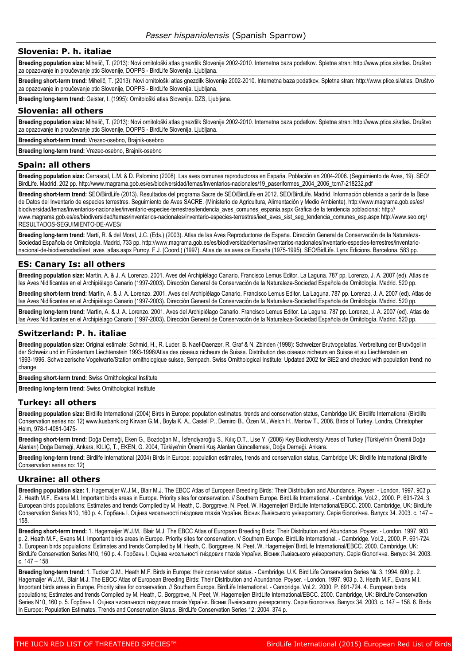#### **Slovenia: P. h. italiae**

**Breeding population size:** Mihelič, T. (2013): Novi ornitološki atlas gnezdilk Slovenije 2002-2010. Internetna baza podatkov. Spletna stran: http://www.ptice.si/atlas. Društvo za opazovanje in proučevanje ptic Slovenije, DOPPS - BirdLife Slovenija. Ljubljana.

**Breeding short-term trend:** Mihelič, T. (2013): Novi ornitološki atlas gnezdilk Slovenije 2002-2010. Internetna baza podatkov. Spletna stran: http://www.ptice.si/atlas. Društvo za opazovanje in proučevanje ptic Slovenije, DOPPS - BirdLife Slovenija. Ljubljana.

**Breeding long-term trend:** Geister, I. (1995): Ornitološki atlas Slovenije. DZS, Ljubljana.

#### **Slovenia: all others**

**Breeding population size:** Mihelič, T. (2013): Novi ornitološki atlas gnezdilk Slovenije 2002-2010. Internetna baza podatkov. Spletna stran: http://www.ptice.si/atlas. Društvo za opazovanje in proučevanje ptic Slovenije, DOPPS - BirdLife Slovenija. Ljubljana.

**Breeding short-term trend:** Vrezec-osebno, Brajnik-osebno

**Breeding long-term trend:** Vrezec-osebno, Brajnik-osebno

#### **Spain: all others**

**Breeding population size:** Carrascal, L.M. & D. Palomino (2008). Las aves comunes reproductoras en España. Población en 2004-2006. (Seguimiento de Aves, 19). SEO/ BirdLife. Madrid. 202 pp. http://www.magrama.gob.es/es/biodiversidad/temas/inventarios-nacionales/19\_paseriformes\_2004\_2006\_tcm7-218232.pdf

**Breeding short-term trend:** SEO/BirdLife (2013). Resultados del programa Sacre de SEO/BirdLife en 2012. SEO/BirdLife. Madrid. Información obtenida a partir de la Base de Datos del Inventario de especies terrestres. Seguimiento de Aves SACRE. (Ministerio de Agricultura, Alimentación y Medio Ambiente). http://www.magrama.gob.es/es/ biodiversidad/temas/inventarios-nacionales/inventario-especies-terrestres/tendencia\_aves\_comunes\_espania.aspx Gráfica de la tendencia poblacional: http:// www.magrama.gob.es/es/biodiversidad/temas/inventarios-nacionales/inventario-especies-terrestres/ieet\_aves\_sist\_seg\_tendencia\_comunes\_esp.aspx http://www.seo.org/ RESULTADOS-SEGUIMIENTO-DE-AVES/

**Breeding long-term trend:** Martí, R. & del Moral, J.C. (Eds.) (2003). Atlas de las Aves Reproductoras de España. Dirección General de Conservación de la Naturaleza-Sociedad Española de Ornitología. Madrid, 733 pp. http://www.magrama.gob.es/es/biodiversidad/temas/inventarios-nacionales/inventario-especies-terrestres/inventarionacional-de-biodiversidad/ieet aves atlas.aspx Purroy, F.J. (Coord.) (1997). Atlas de las aves de España (1975-1995). SEO/BidLife. Lynx Edicions. Barcelona. 583 pp.

### **ES: Canary Is: all others**

**Breeding population size:** Martín, A. & J. A. Lorenzo. 2001. Aves del Archipiélago Canario. Francisco Lemus Editor. La Laguna. 787 pp. Lorenzo, J. A. 2007 (ed). Atlas de las Aves Nidificantes en el Archipiélago Canario (1997-2003). Dirección General de Conservación de la Naturaleza-Sociedad Española de Ornitología. Madrid. 520 pp.

**Breeding short-term trend:** Martín, A. & J. A. Lorenzo. 2001. Aves del Archipiélago Canario. Francisco Lemus Editor. La Laguna. 787 pp. Lorenzo, J. A. 2007 (ed). Atlas de las Aves Nidificantes en el Archipiélago Canario (1997-2003). Dirección General de Conservación de la Naturaleza-Sociedad Española de Ornitología. Madrid. 520 pp.

**Breeding long-term trend:** Martín, A. & J. A. Lorenzo. 2001. Aves del Archipiélago Canario. Francisco Lemus Editor. La Laguna. 787 pp. Lorenzo, J. A. 2007 (ed). Atlas de las Aves Nidificantes en el Archipiélago Canario (1997-2003). Dirección General de Conservación de la Naturaleza-Sociedad Española de Ornitología. Madrid. 520 pp.

#### **Switzerland: P. h. italiae**

**Breeding population size:** Original estimate: Schmid, H., R. Luder, B. Naef-Daenzer, R. Graf & N. Zbinden (1998): Schweizer Brutvogelatlas. Verbreitung der Brutvögel in der Schweiz und im Fürstentum Liechtenstein 1993-1996/Atlas des oiseaux nicheurs de Suisse. Distribution des oiseaux nicheurs en Suisse et au Liechtenstein en 1993-1996. Schweizerische Vogelwarte/Station ornithologique suisse, Sempach. Swiss Ornithological Institute: Updated 2002 for BiE2 and checked with population trend: no change.

**Breeding short-term trend:** Swiss Ornithological Institute

**Breeding long-term trend:** Swiss Ornithological Institute

#### **Turkey: all others**

**Breeding population size:** Birdlife International (2004) Birds in Europe: population estimates, trends and conservation status, Cambridge UK: Birdlife International (Birdlife Conservation series no: 12) www.kusbank.org Kirwan G.M., Boyla K. A., Castell P., Demirci B., Özen M., Welch H., Marlow T., 2008, Birds of Turkey. Londra, Christopher Helm, 978-1-4081-0475-

**Breeding short-term trend:** Doğa Derneği, Eken G., Bozdoğan M., İsfendiyaroğlu S., Kılıç D.T., Lise Y. (2006) Key Biodiversity Areas of Turkey (Türkiye'nin Önemli Doğa Alanları) Doğa Derneği, Ankara, KILIÇ, T., EKEN, G. 2004, Türkiye'nin Önemli Kuş Alanları Güncellemesi, Doğa Derneği. Ankara.

Breeding long-term trend: Birdlife International (2004) Birds in Europe: population estimates, trends and conservation status, Cambridge UK: Birdlife International (Birdlife Conservation series no: 12)

#### **Ukraine: all others**

**Breeding population size:** 1. Hagemaijer W.J.M., Blair M.J. The EBCC Atlas of European Breeding Birds: Their Distribution and Abundance. Poyser. - London. 1997. 903 p. 2. Heath M.F., Evans M.I. Important birds areas in Europe. Priority sites for conservation. // Southern Europe. BirdLife International. - Cambridge. Vol.2., 2000. P. 691-724. 3. European birds populations; Estimates and trends Compiled by M. Heath, C. Borggreve, N. Peet, W. Hagemeijer/ BirdLife International/EBCC. 2000. Cambridge, UK: BirdLife Conservation Series N10, 160 p. 4. Горбань І. Оцінка чисельності гніздових птахів України. Вісник Львівського університету. Серія біологічна. Випуск 34. 2003. с. 147 – 158.

**Breeding short-term trend:** 1. Hagemaijer W.J.M., Blair M.J. The EBCC Atlas of European Breeding Birds: Their Distribution and Abundance. Poyser. - London. 1997. 903 p. 2. Heath M.F., Evans M.I. Important birds areas in Europe. Priority sites for conservation. // Southern Europe. BirdLife International. - Cambridge. Vol.2., 2000. P. 691-724. 3. European birds populations; Estimates and trends Compiled by M. Heath, C. Borggreve, N. Peet, W. Hagemeijer/ BirdLife International/EBCC. 2000. Cambridge, UK: BirdLife Conservation Series N10, 160 p. 4. Горбань І. Оцінка чисельності гніздових птахів України. Вісник Львівського університету. Серія біологічна. Випуск 34. 2003. с. 147 – 158.

**Breeding long-term trend:** 1. Tucker G.M., Heath M.F. Birds in Europe: their conservation status. - Cambridge. U.K. Bird Life Conservation Series №. 3. 1994. 600 p. 2. Hagemaijer W.J.M., Blair M.J. The EBCC Atlas of European Breeding Birds: Their Distribution and Abundance. Poyser. - London. 1997. 903 p. 3. Heath M.F., Evans M.I. Important birds areas in Europe. Priority sites for conservation. // Southern Europe. BirdLife International. - Cambridge. Vol.2., 2000. P. 691-724. 4. European birds populations; Estimates and trends Compiled by M. Heath, C. Borggreve, N. Peet, W. Hagemeijer/ BirdLife International/EBCC. 2000. Cambridge, UK: BirdLife Conservation Series N10, 160 р. 5. Горбань І. Оцінка чисельності гніздових птахів України. Вісник Львівського університету. Серія біологічна. Випуск 34. 2003. с. 147 – 158. 6. Birds in Europe: Population Estimates, Trends and Conservation Status. BirdLife Conservation Series 12; 2004. 374 р.